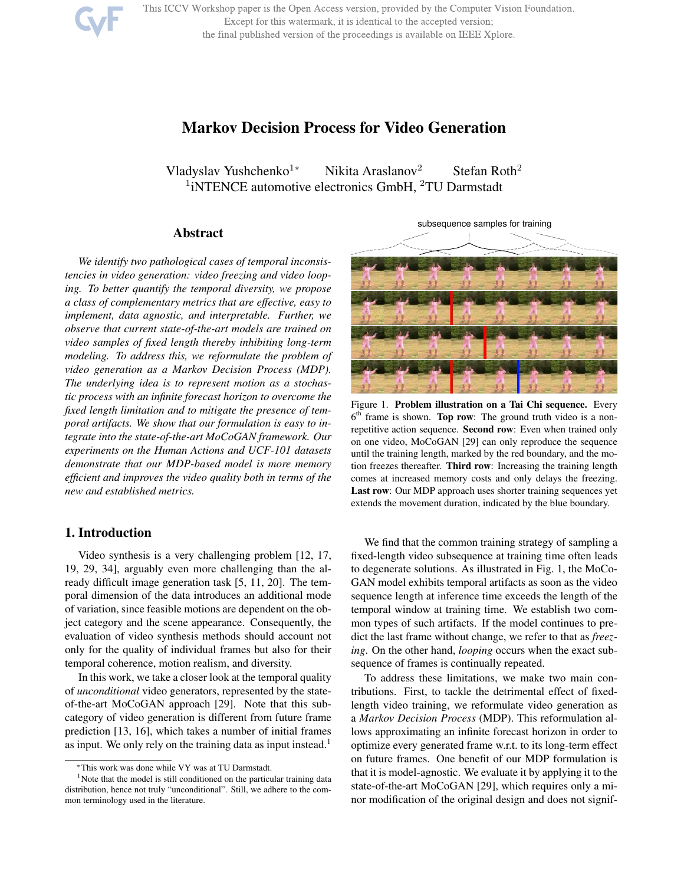This ICCV Workshop paper is the Open Access version, provided by the Computer Vision Foundation. Except for this watermark, it is identical to the accepted version;

#### the final published version of the proceedings is available on IEEE Xplore.



Vladyslav Yushchenko<sup>1∗</sup> Nikita Araslanov<sup>2</sup> Stefan Roth<sup>2</sup> <sup>1</sup>iNTENCE automotive electronics GmbH, <sup>2</sup>TU Darmstadt

# Abstract

*We identify two pathological cases of temporal inconsistencies in video generation: video freezing and video looping. To better quantify the temporal diversity, we propose a class of complementary metrics that are effective, easy to implement, data agnostic, and interpretable. Further, we observe that current state-of-the-art models are trained on video samples of fixed length thereby inhibiting long-term modeling. To address this, we reformulate the problem of video generation as a Markov Decision Process (MDP). The underlying idea is to represent motion as a stochastic process with an infinite forecast horizon to overcome the fixed length limitation and to mitigate the presence of temporal artifacts. We show that our formulation is easy to integrate into the state-of-the-art MoCoGAN framework. Our experiments on the Human Actions and UCF-101 datasets demonstrate that our MDP-based model is more memory efficient and improves the video quality both in terms of the new and established metrics.*

## 1. Introduction

Video synthesis is a very challenging problem [12, 17, 19, 29, 34], arguably even more challenging than the already difficult image generation task [5, 11, 20]. The temporal dimension of the data introduces an additional mode of variation, since feasible motions are dependent on the object category and the scene appearance. Consequently, the evaluation of video synthesis methods should account not only for the quality of individual frames but also for their temporal coherence, motion realism, and diversity.

In this work, we take a closer look at the temporal quality of *unconditional* video generators, represented by the stateof-the-art MoCoGAN approach [29]. Note that this subcategory of video generation is different from future frame prediction [13, 16], which takes a number of initial frames as input. We only rely on the training data as input instead.<sup>1</sup>



Figure 1. Problem illustration on a Tai Chi sequence. Every  $6<sup>th</sup>$  frame is shown. Top row: The ground truth video is a nonrepetitive action sequence. Second row: Even when trained only on one video, MoCoGAN [29] can only reproduce the sequence until the training length, marked by the red boundary, and the motion freezes thereafter. Third row: Increasing the training length comes at increased memory costs and only delays the freezing. Last row: Our MDP approach uses shorter training sequences yet extends the movement duration, indicated by the blue boundary.

We find that the common training strategy of sampling a fixed-length video subsequence at training time often leads to degenerate solutions. As illustrated in Fig. 1, the MoCo-GAN model exhibits temporal artifacts as soon as the video sequence length at inference time exceeds the length of the temporal window at training time. We establish two common types of such artifacts. If the model continues to predict the last frame without change, we refer to that as *freezing*. On the other hand, *looping* occurs when the exact subsequence of frames is continually repeated.

To address these limitations, we make two main contributions. First, to tackle the detrimental effect of fixedlength video training, we reformulate video generation as a *Markov Decision Process* (MDP). This reformulation allows approximating an infinite forecast horizon in order to optimize every generated frame w.r.t. to its long-term effect on future frames. One benefit of our MDP formulation is that it is model-agnostic. We evaluate it by applying it to the state-of-the-art MoCoGAN [29], which requires only a minor modification of the original design and does not signif-

<sup>∗</sup>This work was done while VY was at TU Darmstadt.

<sup>&</sup>lt;sup>1</sup>Note that the model is still conditioned on the particular training data distribution, hence not truly "unconditional". Still, we adhere to the common terminology used in the literature.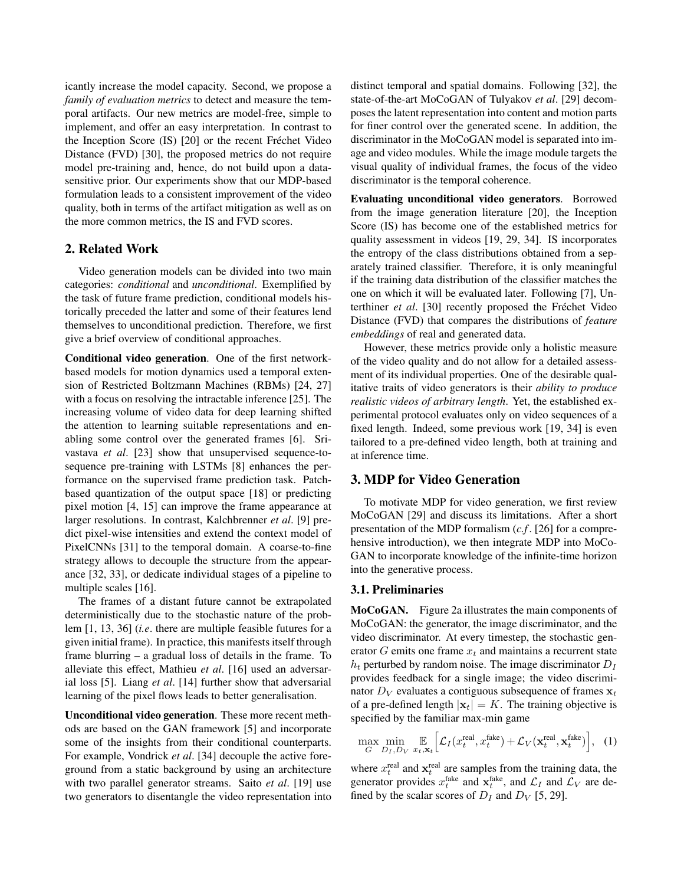icantly increase the model capacity. Second, we propose a *family of evaluation metrics* to detect and measure the temporal artifacts. Our new metrics are model-free, simple to implement, and offer an easy interpretation. In contrast to the Inception Score (IS) [20] or the recent Fréchet Video Distance (FVD) [30], the proposed metrics do not require model pre-training and, hence, do not build upon a datasensitive prior. Our experiments show that our MDP-based formulation leads to a consistent improvement of the video quality, both in terms of the artifact mitigation as well as on the more common metrics, the IS and FVD scores.

## 2. Related Work

Video generation models can be divided into two main categories: *conditional* and *unconditional*. Exemplified by the task of future frame prediction, conditional models historically preceded the latter and some of their features lend themselves to unconditional prediction. Therefore, we first give a brief overview of conditional approaches.

Conditional video generation. One of the first networkbased models for motion dynamics used a temporal extension of Restricted Boltzmann Machines (RBMs) [24, 27] with a focus on resolving the intractable inference [25]. The increasing volume of video data for deep learning shifted the attention to learning suitable representations and enabling some control over the generated frames [6]. Srivastava *et al*. [23] show that unsupervised sequence-tosequence pre-training with LSTMs [8] enhances the performance on the supervised frame prediction task. Patchbased quantization of the output space [18] or predicting pixel motion [4, 15] can improve the frame appearance at larger resolutions. In contrast, Kalchbrenner *et al*. [9] predict pixel-wise intensities and extend the context model of PixelCNNs [31] to the temporal domain. A coarse-to-fine strategy allows to decouple the structure from the appearance [32, 33], or dedicate individual stages of a pipeline to multiple scales [16].

The frames of a distant future cannot be extrapolated deterministically due to the stochastic nature of the problem [1, 13, 36] (*i.e*. there are multiple feasible futures for a given initial frame). In practice, this manifests itself through frame blurring – a gradual loss of details in the frame. To alleviate this effect, Mathieu *et al*. [16] used an adversarial loss [5]. Liang *et al*. [14] further show that adversarial learning of the pixel flows leads to better generalisation.

Unconditional video generation. These more recent methods are based on the GAN framework [5] and incorporate some of the insights from their conditional counterparts. For example, Vondrick *et al*. [34] decouple the active foreground from a static background by using an architecture with two parallel generator streams. Saito *et al*. [19] use two generators to disentangle the video representation into

distinct temporal and spatial domains. Following [32], the state-of-the-art MoCoGAN of Tulyakov *et al*. [29] decomposes the latent representation into content and motion parts for finer control over the generated scene. In addition, the discriminator in the MoCoGAN model is separated into image and video modules. While the image module targets the visual quality of individual frames, the focus of the video discriminator is the temporal coherence.

Evaluating unconditional video generators. Borrowed from the image generation literature [20], the Inception Score (IS) has become one of the established metrics for quality assessment in videos [19, 29, 34]. IS incorporates the entropy of the class distributions obtained from a separately trained classifier. Therefore, it is only meaningful if the training data distribution of the classifier matches the one on which it will be evaluated later. Following [7], Unterthiner *et al.* [30] recently proposed the Fréchet Video Distance (FVD) that compares the distributions of *feature embeddings* of real and generated data.

However, these metrics provide only a holistic measure of the video quality and do not allow for a detailed assessment of its individual properties. One of the desirable qualitative traits of video generators is their *ability to produce realistic videos of arbitrary length*. Yet, the established experimental protocol evaluates only on video sequences of a fixed length. Indeed, some previous work [19, 34] is even tailored to a pre-defined video length, both at training and at inference time.

## 3. MDP for Video Generation

To motivate MDP for video generation, we first review MoCoGAN [29] and discuss its limitations. After a short presentation of the MDP formalism (*c.f* . [26] for a comprehensive introduction), we then integrate MDP into MoCo-GAN to incorporate knowledge of the infinite-time horizon into the generative process.

#### 3.1. Preliminaries

MoCoGAN. Figure 2a illustrates the main components of MoCoGAN: the generator, the image discriminator, and the video discriminator. At every timestep, the stochastic generator G emits one frame  $x_t$  and maintains a recurrent state  $h_t$  perturbed by random noise. The image discriminator  $D_I$ provides feedback for a single image; the video discriminator  $D_V$  evaluates a contiguous subsequence of frames  $x_t$ of a pre-defined length  $|\mathbf{x}_t| = K$ . The training objective is specified by the familiar max-min game

$$
\max_{G} \min_{D_I, D_V} \mathbb{E}_{x_t, \mathbf{x}_t} \Big[ \mathcal{L}_I(x_t^{\text{real}}, x_t^{\text{fake}}) + \mathcal{L}_V(\mathbf{x}_t^{\text{real}}, \mathbf{x}_t^{\text{fake}}) \Big], \quad (1)
$$

where  $x_t^{\text{real}}$  and  $x_t^{\text{real}}$  are samples from the training data, the generator provides  $x_t^{\text{fake}}$  and  $\mathbf{x}_t^{\text{fake}}$ , and  $\mathcal{L}_I$  and  $\mathcal{L}_V$  are defined by the scalar scores of  $D_I$  and  $D_V$  [5, 29].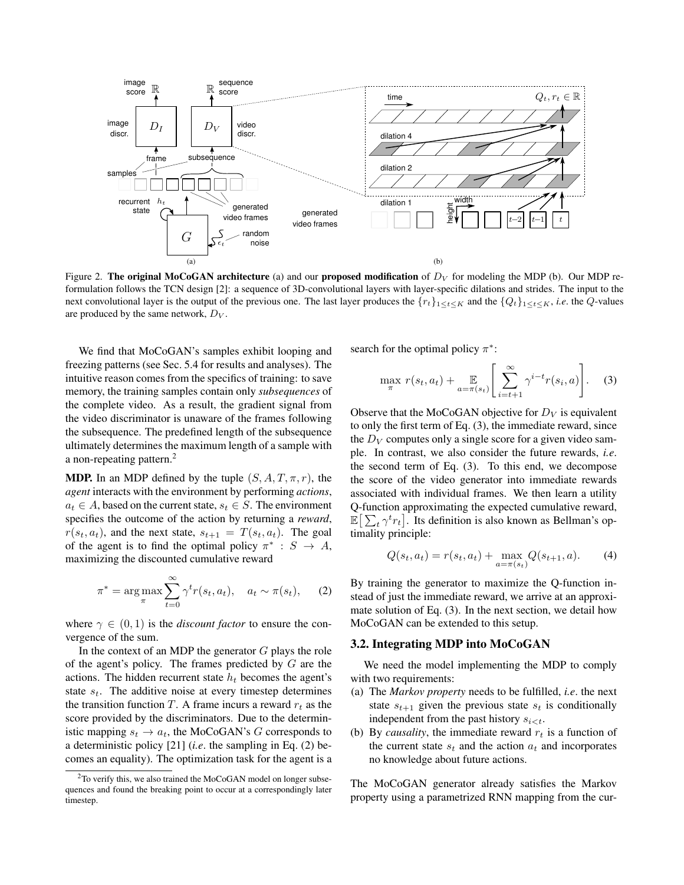

Figure 2. The original MoCoGAN architecture (a) and our proposed modification of  $D_V$  for modeling the MDP (b). Our MDP reformulation follows the TCN design [2]: a sequence of 3D-convolutional layers with layer-specific dilations and strides. The input to the next convolutional layer is the output of the previous one. The last layer produces the  $\{r_t\}_{1\leq t\leq K}$  and the  $\{Q_t\}_{1\leq t\leq K}$ , *i.e.* the Q-values are produced by the same network,  $D_V$ .

We find that MoCoGAN's samples exhibit looping and freezing patterns (see Sec. 5.4 for results and analyses). The intuitive reason comes from the specifics of training: to save memory, the training samples contain only *subsequences* of the complete video. As a result, the gradient signal from the video discriminator is unaware of the frames following the subsequence. The predefined length of the subsequence ultimately determines the maximum length of a sample with a non-repeating pattern.<sup>2</sup>

**MDP.** In an MDP defined by the tuple  $(S, A, T, \pi, r)$ , the *agent* interacts with the environment by performing *actions*,  $a_t \in A$ , based on the current state,  $s_t \in S$ . The environment specifies the outcome of the action by returning a *reward*,  $r(s_t, a_t)$ , and the next state,  $s_{t+1} = T(s_t, a_t)$ . The goal of the agent is to find the optimal policy  $\pi^*$ :  $S \to A$ , maximizing the discounted cumulative reward

$$
\pi^* = \underset{\pi}{\arg\max} \sum_{t=0}^{\infty} \gamma^t r(s_t, a_t), \quad a_t \sim \pi(s_t), \quad (2)
$$

where  $\gamma \in (0, 1)$  is the *discount factor* to ensure the convergence of the sum.

In the context of an MDP the generator  $G$  plays the role of the agent's policy. The frames predicted by  $G$  are the actions. The hidden recurrent state  $h_t$  becomes the agent's state  $s_t$ . The additive noise at every timestep determines the transition function T. A frame incurs a reward  $r_t$  as the score provided by the discriminators. Due to the deterministic mapping  $s_t \to a_t$ , the MoCoGAN's G corresponds to a deterministic policy [21] (*i.e*. the sampling in Eq. (2) becomes an equality). The optimization task for the agent is a search for the optimal policy  $\pi^*$ :

$$
\max_{\pi} r(s_t, a_t) + \mathop{\mathbb{E}}_{a = \pi(s_t)} \left[ \sum_{i=t+1}^{\infty} \gamma^{i-t} r(s_i, a) \right].
$$
 (3)

Observe that the MoCoGAN objective for  $D_V$  is equivalent to only the first term of Eq. (3), the immediate reward, since the  $D_V$  computes only a single score for a given video sample. In contrast, we also consider the future rewards, *i.e*. the second term of Eq. (3). To this end, we decompose the score of the video generator into immediate rewards associated with individual frames. We then learn a utility Q-function approximating the expected cumulative reward,  $\mathbb{E}\left[\sum_t \gamma^t r_t\right]$ . Its definition is also known as Bellman's optimality principle:

$$
Q(s_t, a_t) = r(s_t, a_t) + \max_{a = \pi(s_t)} Q(s_{t+1}, a). \tag{4}
$$

By training the generator to maximize the Q-function instead of just the immediate reward, we arrive at an approximate solution of Eq. (3). In the next section, we detail how MoCoGAN can be extended to this setup.

### 3.2. Integrating MDP into MoCoGAN

We need the model implementing the MDP to comply with two requirements:

- (a) The *Markov property* needs to be fulfilled, *i.e*. the next state  $s_{t+1}$  given the previous state  $s_t$  is conditionally independent from the past history  $s_{i \lt t}$ .
- (b) By *causality*, the immediate reward  $r_t$  is a function of the current state  $s_t$  and the action  $a_t$  and incorporates no knowledge about future actions.

The MoCoGAN generator already satisfies the Markov property using a parametrized RNN mapping from the cur-

 $2$ To verify this, we also trained the MoCoGAN model on longer subsequences and found the breaking point to occur at a correspondingly later timestep.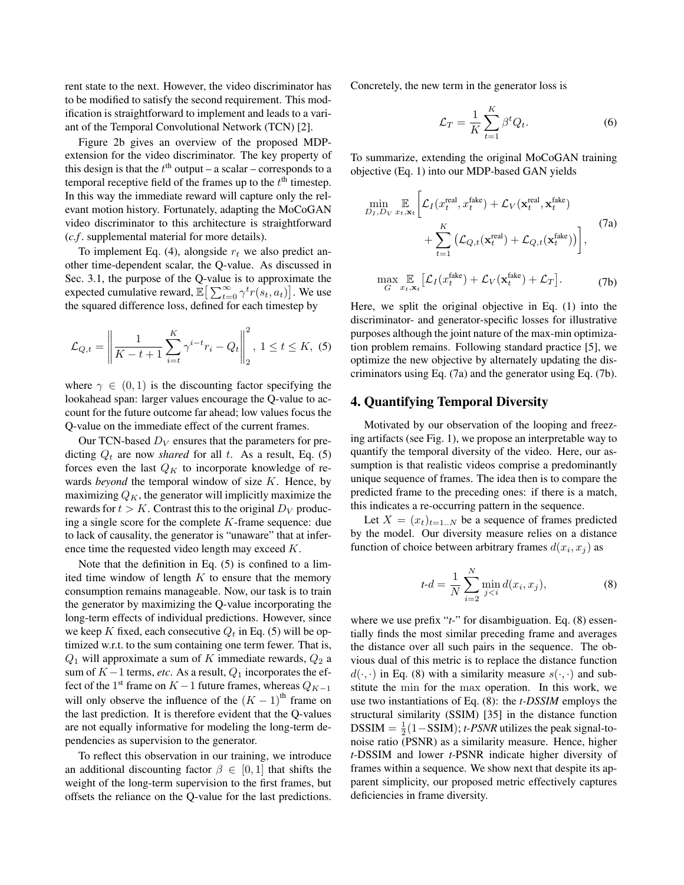rent state to the next. However, the video discriminator has to be modified to satisfy the second requirement. This modification is straightforward to implement and leads to a variant of the Temporal Convolutional Network (TCN) [2].

Figure 2b gives an overview of the proposed MDPextension for the video discriminator. The key property of this design is that the  $t<sup>th</sup>$  output – a scalar – corresponds to a temporal receptive field of the frames up to the  $t<sup>th</sup>$  timestep. In this way the immediate reward will capture only the relevant motion history. Fortunately, adapting the MoCoGAN video discriminator to this architecture is straightforward (*c.f* . supplemental material for more details).

To implement Eq. (4), alongside  $r_t$  we also predict another time-dependent scalar, the Q-value. As discussed in Sec. 3.1, the purpose of the Q-value is to approximate the expected cumulative reward,  $\mathbb{E} \left[ \sum_{t=0}^{\infty} \gamma^t r(s_t, a_t) \right]$ . We use the squared difference loss, defined for each timestep by

$$
\mathcal{L}_{Q,t} = \left\| \frac{1}{K - t + 1} \sum_{i=t}^{K} \gamma^{i-t} r_i - Q_t \right\|_2^2, \ 1 \le t \le K, \ (5)
$$

where  $\gamma \in (0, 1)$  is the discounting factor specifying the lookahead span: larger values encourage the Q-value to account for the future outcome far ahead; low values focus the Q-value on the immediate effect of the current frames.

Our TCN-based  $D_V$  ensures that the parameters for predicting  $Q_t$  are now *shared* for all t. As a result, Eq. (5) forces even the last  $Q_K$  to incorporate knowledge of rewards *beyond* the temporal window of size K. Hence, by maximizing  $Q_K$ , the generator will implicitly maximize the rewards for  $t > K$ . Contrast this to the original  $D_V$  producing a single score for the complete  $K$ -frame sequence: due to lack of causality, the generator is "unaware" that at inference time the requested video length may exceed K.

Note that the definition in Eq. (5) is confined to a limited time window of length  $K$  to ensure that the memory consumption remains manageable. Now, our task is to train the generator by maximizing the Q-value incorporating the long-term effects of individual predictions. However, since we keep K fixed, each consecutive  $Q_t$  in Eq. (5) will be optimized w.r.t. to the sum containing one term fewer. That is,  $Q_1$  will approximate a sum of K immediate rewards,  $Q_2$  a sum of  $K-1$  terms, *etc*. As a result,  $Q_1$  incorporates the effect of the 1<sup>st</sup> frame on  $K-1$  future frames, whereas  $Q_{K-1}$ will only observe the influence of the  $(K - 1)$ <sup>th</sup> frame on the last prediction. It is therefore evident that the Q-values are not equally informative for modeling the long-term dependencies as supervision to the generator.

To reflect this observation in our training, we introduce an additional discounting factor  $\beta \in [0, 1]$  that shifts the weight of the long-term supervision to the first frames, but offsets the reliance on the Q-value for the last predictions. Concretely, the new term in the generator loss is

$$
\mathcal{L}_T = \frac{1}{K} \sum_{t=1}^K \beta^t Q_t.
$$
 (6)

To summarize, extending the original MoCoGAN training objective (Eq. 1) into our MDP-based GAN yields

$$
\min_{D_I, D_V} \mathbb{E}_{x_t, \mathbf{x}_t} \bigg[ \mathcal{L}_I(x_t^{\text{real}}, x_t^{\text{fake}}) + \mathcal{L}_V(\mathbf{x}_t^{\text{real}}, \mathbf{x}_t^{\text{fake}}) + \sum_{t=1}^K \big( \mathcal{L}_{Q, t}(\mathbf{x}_t^{\text{real}}) + \mathcal{L}_{Q, t}(\mathbf{x}_t^{\text{fake}}) \big) \bigg], \tag{7a}
$$
\n
$$
\max_{G} \mathbb{E}_{x_t, \mathbf{x}_t} \big[ \mathcal{L}_I(x_t^{\text{fake}}) + \mathcal{L}_V(\mathbf{x}_t^{\text{fake}}) + \mathcal{L}_T \big]. \tag{7b}
$$

Here, we split the original objective in Eq. (1) into the discriminator- and generator-specific losses for illustrative purposes although the joint nature of the max-min optimization problem remains. Following standard practice [5], we optimize the new objective by alternately updating the discriminators using Eq. (7a) and the generator using Eq. (7b).

## 4. Quantifying Temporal Diversity

Motivated by our observation of the looping and freezing artifacts (see Fig. 1), we propose an interpretable way to quantify the temporal diversity of the video. Here, our assumption is that realistic videos comprise a predominantly unique sequence of frames. The idea then is to compare the predicted frame to the preceding ones: if there is a match, this indicates a re-occurring pattern in the sequence.

Let  $X = (x_t)_{t=1..N}$  be a sequence of frames predicted by the model. Our diversity measure relies on a distance function of choice between arbitrary frames  $d(x_i, x_j)$  as

$$
t \cdot d = \frac{1}{N} \sum_{i=2}^{N} \min_{j < i} d(x_i, x_j), \tag{8}
$$

where we use prefix "*t*-" for disambiguation. Eq. (8) essentially finds the most similar preceding frame and averages the distance over all such pairs in the sequence. The obvious dual of this metric is to replace the distance function  $d(\cdot, \cdot)$  in Eq. (8) with a similarity measure  $s(\cdot, \cdot)$  and substitute the min for the max operation. In this work, we use two instantiations of Eq. (8): the *t-DSSIM* employs the structural similarity (SSIM) [35] in the distance function DSSIM =  $\frac{1}{2}(1-\text{SSIM})$ ; *t-PSNR* utilizes the peak signal-tonoise ratio (PSNR) as a similarity measure. Hence, higher *t-*DSSIM and lower *t-*PSNR indicate higher diversity of frames within a sequence. We show next that despite its apparent simplicity, our proposed metric effectively captures deficiencies in frame diversity.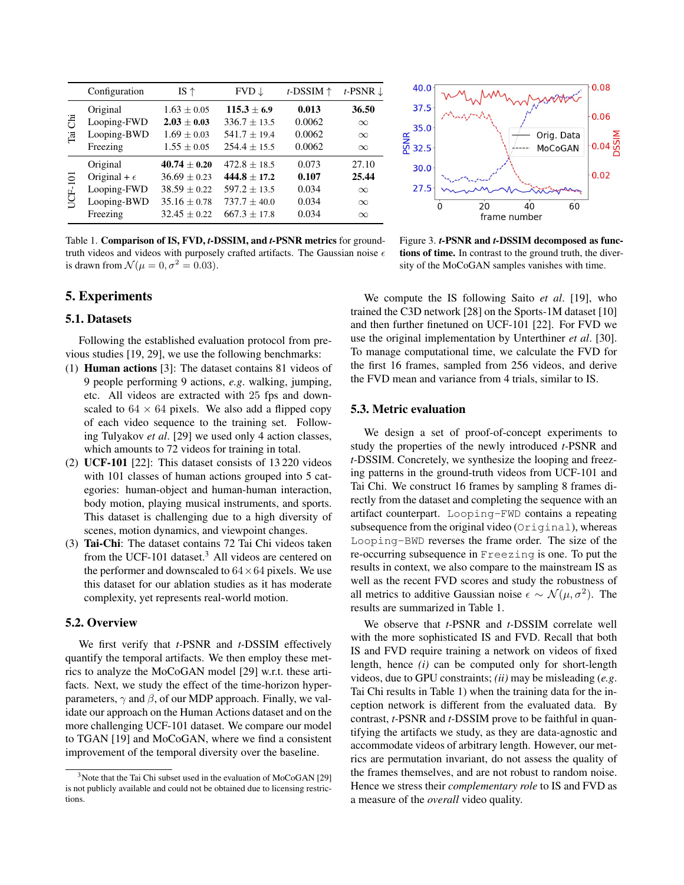|                          | Configuration         | IS $\uparrow$    | $FVD \downarrow$ | $t$ -DSSIM $\uparrow$ | t-PSNR $\downarrow$ |
|--------------------------|-----------------------|------------------|------------------|-----------------------|---------------------|
| 콩<br>$\overline{\Gamma}$ | Original              | $1.63 \pm 0.05$  | $115.3 \pm 6.9$  | 0.013                 | 36.50               |
|                          | Looping-FWD           | $2.03 \pm 0.03$  | $336.7 \pm 13.5$ | 0.0062                | $\infty$            |
|                          | Looping-BWD           | $1.69 \pm 0.03$  | $541.7 \pm 19.4$ | 0.0062                | $\infty$            |
|                          | Freezing              | $1.55 \pm 0.05$  | $254.4 \pm 15.5$ | 0.0062                | $\infty$            |
| <b>JCF-101</b>           | Original              | $40.74 \pm 0.20$ | $472.8 + 18.5$   | 0.073                 | 27.10               |
|                          | Original + $\epsilon$ | $36.69 \pm 0.23$ | $444.8 \pm 17.2$ | 0.107                 | 25.44               |
|                          | Looping-FWD           | $38.59 \pm 0.22$ | $597.2 \pm 13.5$ | 0.034                 | $\infty$            |
|                          | Looping-BWD           | $35.16 \pm 0.78$ | $737.7 \pm 40.0$ | 0.034                 | $\infty$            |
|                          | Freezing              | $32.45 \pm 0.22$ | $667.3 + 17.8$   | 0.034                 | $\infty$            |

Table 1. Comparison of IS, FVD, *t-*DSSIM, and *t-*PSNR metrics for groundtruth videos and videos with purposely crafted artifacts. The Gaussian noise  $\epsilon$ is drawn from  $\mathcal{N}(\mu = 0, \sigma^2 = 0.03)$ .

## 5. Experiments

### 5.1. Datasets

Following the established evaluation protocol from previous studies [19, 29], we use the following benchmarks:

- (1) Human actions [3]: The dataset contains 81 videos of 9 people performing 9 actions, *e.g*. walking, jumping, etc. All videos are extracted with 25 fps and downscaled to  $64 \times 64$  pixels. We also add a flipped copy of each video sequence to the training set. Following Tulyakov *et al*. [29] we used only 4 action classes, which amounts to 72 videos for training in total.
- (2) UCF-101 [22]: This dataset consists of 13 220 videos with 101 classes of human actions grouped into 5 categories: human-object and human-human interaction, body motion, playing musical instruments, and sports. This dataset is challenging due to a high diversity of scenes, motion dynamics, and viewpoint changes.
- (3) Tai-Chi: The dataset contains 72 Tai Chi videos taken from the UCF-101 dataset.<sup>3</sup> All videos are centered on the performer and downscaled to  $64 \times 64$  pixels. We use this dataset for our ablation studies as it has moderate complexity, yet represents real-world motion.

### 5.2. Overview

We first verify that *t-*PSNR and *t-*DSSIM effectively quantify the temporal artifacts. We then employ these metrics to analyze the MoCoGAN model [29] w.r.t. these artifacts. Next, we study the effect of the time-horizon hyperparameters,  $\gamma$  and  $\beta$ , of our MDP approach. Finally, we validate our approach on the Human Actions dataset and on the more challenging UCF-101 dataset. We compare our model to TGAN [19] and MoCoGAN, where we find a consistent improvement of the temporal diversity over the baseline.



Figure 3. *t-*PSNR and *t-*DSSIM decomposed as functions of time. In contrast to the ground truth, the diversity of the MoCoGAN samples vanishes with time.

We compute the IS following Saito *et al*. [19], who trained the C3D network [28] on the Sports-1M dataset [10] and then further finetuned on UCF-101 [22]. For FVD we use the original implementation by Unterthiner *et al*. [30]. To manage computational time, we calculate the FVD for the first 16 frames, sampled from 256 videos, and derive the FVD mean and variance from 4 trials, similar to IS.

## 5.3. Metric evaluation

We design a set of proof-of-concept experiments to study the properties of the newly introduced *t-*PSNR and *t-*DSSIM. Concretely, we synthesize the looping and freezing patterns in the ground-truth videos from UCF-101 and Tai Chi. We construct 16 frames by sampling 8 frames directly from the dataset and completing the sequence with an artifact counterpart. Looping-FWD contains a repeating subsequence from the original video (Original), whereas Looping-BWD reverses the frame order. The size of the re-occurring subsequence in Freezing is one. To put the results in context, we also compare to the mainstream IS as well as the recent FVD scores and study the robustness of all metrics to additive Gaussian noise  $\epsilon \sim \mathcal{N}(\mu, \sigma^2)$ . The results are summarized in Table 1.

We observe that *t-*PSNR and *t-*DSSIM correlate well with the more sophisticated IS and FVD. Recall that both IS and FVD require training a network on videos of fixed length, hence *(i)* can be computed only for short-length videos, due to GPU constraints; *(ii)* may be misleading (*e.g*. Tai Chi results in Table 1) when the training data for the inception network is different from the evaluated data. By contrast, *t-*PSNR and *t-*DSSIM prove to be faithful in quantifying the artifacts we study, as they are data-agnostic and accommodate videos of arbitrary length. However, our metrics are permutation invariant, do not assess the quality of the frames themselves, and are not robust to random noise. Hence we stress their *complementary role* to IS and FVD as a measure of the *overall* video quality.

 $3$ Note that the Tai Chi subset used in the evaluation of MoCoGAN [29] is not publicly available and could not be obtained due to licensing restrictions.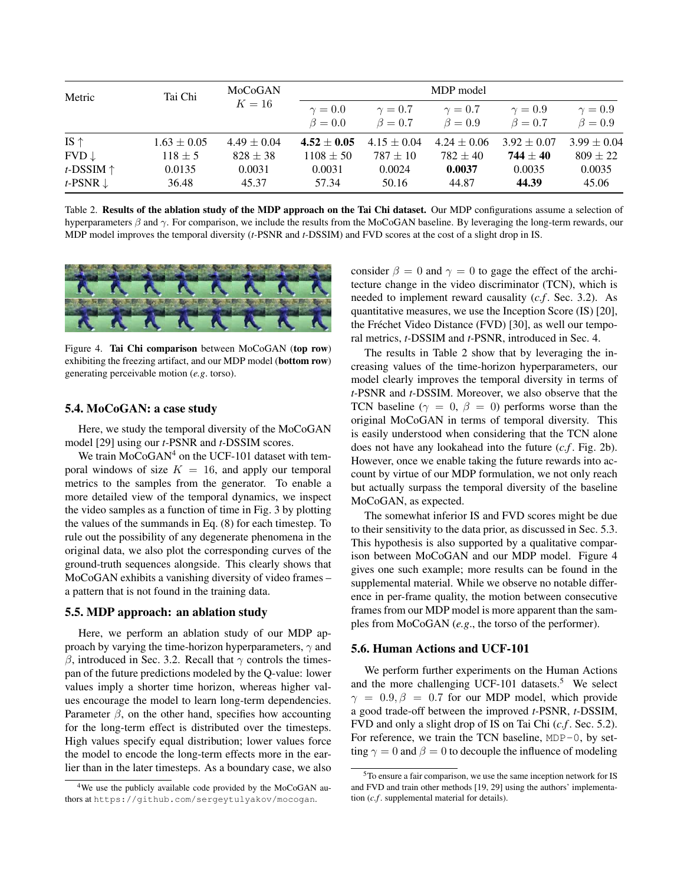| Metric              | Tai Chi         | MoCoGAN<br>$K=16$ | MDP model                       |                               |                               |                               |                               |  |  |
|---------------------|-----------------|-------------------|---------------------------------|-------------------------------|-------------------------------|-------------------------------|-------------------------------|--|--|
|                     |                 |                   | $\gamma = 0.0$<br>$\beta = 0.0$ | $\gamma=0.7$<br>$\beta = 0.7$ | $\gamma=0.7$<br>$\beta = 0.9$ | $\gamma=0.9$<br>$\beta = 0.7$ | $\gamma=0.9$<br>$\beta = 0.9$ |  |  |
| IS $\uparrow$       | $1.63 \pm 0.05$ | $4.49 \pm 0.04$   | $4.52 \pm 0.05$                 | $4.15 \pm 0.04$               | $4.24 \pm 0.06$               | $3.92 \pm 0.07$               | $3.99 \pm 0.04$               |  |  |
| $FVD \downarrow$    | $118 \pm 5$     | $828 \pm 38$      | $1108 \pm 50$                   | $787 \pm 10$                  | $782 \pm 40$                  | $744 \pm 40$                  | $809 \pm 22$                  |  |  |
| t-DSSIM $\uparrow$  | 0.0135          | 0.0031            | 0.0031                          | 0.0024                        | 0.0037                        | 0.0035                        | 0.0035                        |  |  |
| t-PSNR $\downarrow$ | 36.48           | 45.37             | 57.34                           | 50.16                         | 44.87                         | 44.39                         | 45.06                         |  |  |

Table 2. Results of the ablation study of the MDP approach on the Tai Chi dataset. Our MDP configurations assume a selection of hyperparameters  $\beta$  and  $\gamma$ . For comparison, we include the results from the MoCoGAN baseline. By leveraging the long-term rewards, our MDP model improves the temporal diversity (*t-*PSNR and *t-*DSSIM) and FVD scores at the cost of a slight drop in IS.



Figure 4. Tai Chi comparison between MoCoGAN (top row) exhibiting the freezing artifact, and our MDP model (bottom row) generating perceivable motion (*e.g*. torso).

#### 5.4. MoCoGAN: a case study

Here, we study the temporal diversity of the MoCoGAN model [29] using our *t-*PSNR and *t-*DSSIM scores.

We train  $MoCoGAN<sup>4</sup>$  on the UCF-101 dataset with temporal windows of size  $K = 16$ , and apply our temporal metrics to the samples from the generator. To enable a more detailed view of the temporal dynamics, we inspect the video samples as a function of time in Fig. 3 by plotting the values of the summands in Eq. (8) for each timestep. To rule out the possibility of any degenerate phenomena in the original data, we also plot the corresponding curves of the ground-truth sequences alongside. This clearly shows that MoCoGAN exhibits a vanishing diversity of video frames – a pattern that is not found in the training data.

#### 5.5. MDP approach: an ablation study

Here, we perform an ablation study of our MDP approach by varying the time-horizon hyperparameters,  $\gamma$  and β, introduced in Sec. 3.2. Recall that  $\gamma$  controls the timespan of the future predictions modeled by the Q-value: lower values imply a shorter time horizon, whereas higher values encourage the model to learn long-term dependencies. Parameter  $\beta$ , on the other hand, specifies how accounting for the long-term effect is distributed over the timesteps. High values specify equal distribution; lower values force the model to encode the long-term effects more in the earlier than in the later timesteps. As a boundary case, we also consider  $\beta = 0$  and  $\gamma = 0$  to gage the effect of the architecture change in the video discriminator (TCN), which is needed to implement reward causality (*c.f* . Sec. 3.2). As quantitative measures, we use the Inception Score (IS) [20], the Fréchet Video Distance (FVD) [30], as well our temporal metrics, *t-*DSSIM and *t-*PSNR, introduced in Sec. 4.

The results in Table 2 show that by leveraging the increasing values of the time-horizon hyperparameters, our model clearly improves the temporal diversity in terms of *t-*PSNR and *t-*DSSIM. Moreover, we also observe that the TCN baseline ( $\gamma = 0$ ,  $\beta = 0$ ) performs worse than the original MoCoGAN in terms of temporal diversity. This is easily understood when considering that the TCN alone does not have any lookahead into the future (*c.f* . Fig. 2b). However, once we enable taking the future rewards into account by virtue of our MDP formulation, we not only reach but actually surpass the temporal diversity of the baseline MoCoGAN, as expected.

The somewhat inferior IS and FVD scores might be due to their sensitivity to the data prior, as discussed in Sec. 5.3. This hypothesis is also supported by a qualitative comparison between MoCoGAN and our MDP model. Figure 4 gives one such example; more results can be found in the supplemental material. While we observe no notable difference in per-frame quality, the motion between consecutive frames from our MDP model is more apparent than the samples from MoCoGAN (*e.g*., the torso of the performer).

#### 5.6. Human Actions and UCF-101

We perform further experiments on the Human Actions and the more challenging UCF-101 datasets.<sup>5</sup> We select  $\gamma = 0.9, \beta = 0.7$  for our MDP model, which provide a good trade-off between the improved *t-*PSNR, *t-*DSSIM, FVD and only a slight drop of IS on Tai Chi (*c.f* . Sec. 5.2). For reference, we train the TCN baseline,  $MDP-0$ , by setting  $\gamma = 0$  and  $\beta = 0$  to decouple the influence of modeling

<sup>&</sup>lt;sup>4</sup>We use the publicly available code provided by the MoCoGAN authors at https://github.com/sergeytulyakov/mocogan.

<sup>5</sup>To ensure a fair comparison, we use the same inception network for IS and FVD and train other methods [19, 29] using the authors' implementation (*c.f* . supplemental material for details).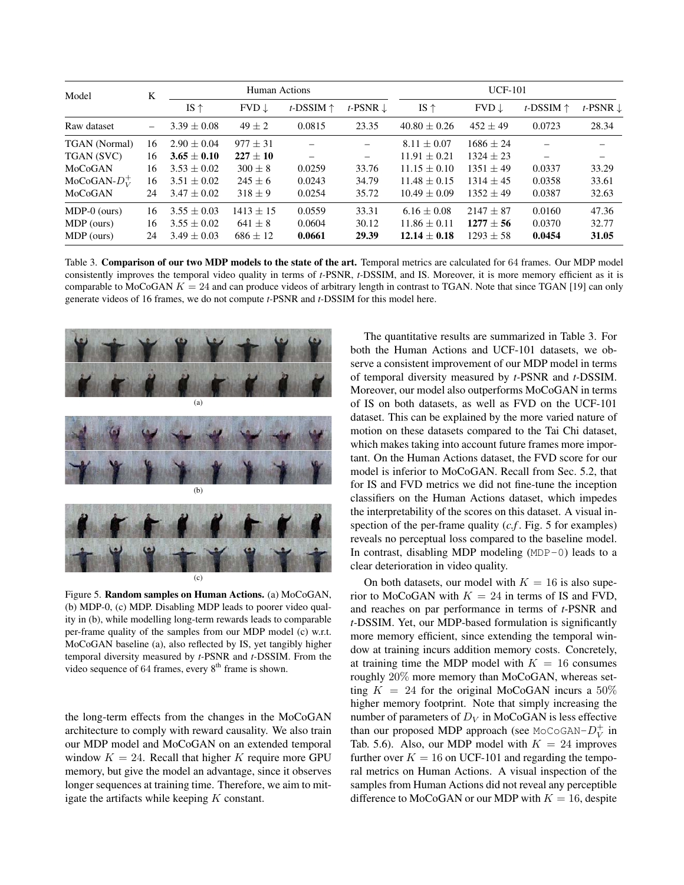| Model                | K                        | Human Actions   |                  |                    | $UCF-101$                |                  |                  |                    |                     |
|----------------------|--------------------------|-----------------|------------------|--------------------|--------------------------|------------------|------------------|--------------------|---------------------|
|                      |                          | IS $\uparrow$   | $FVD \downarrow$ | t-DSSIM $\uparrow$ | t-PSNR $\downarrow$      | IS $\uparrow$    | $FVD \downarrow$ | t-DSSIM $\uparrow$ | t-PSNR $\downarrow$ |
| Raw dataset          | $\overline{\phantom{0}}$ | $3.39 \pm 0.08$ | $49 \pm 2$       | 0.0815             | 23.35                    | $40.80 \pm 0.26$ | $452 + 49$       | 0.0723             | 28.34               |
| <b>TGAN</b> (Normal) | 16                       | $2.90 + 0.04$   | $977 + 31$       |                    | —                        | $8.11 + 0.07$    | $1686 + 24$      |                    |                     |
| TGAN (SVC)           | 16                       | $3.65 \pm 0.10$ | $227 \pm 10$     |                    | $\overline{\phantom{0}}$ | $11.91 \pm 0.21$ | $1324 + 23$      |                    |                     |
| MoCoGAN              | 16                       | $3.53 \pm 0.02$ | $300 + 8$        | 0.0259             | 33.76                    | $11.15 + 0.10$   | $1351 + 49$      | 0.0337             | 33.29               |
| MoCoGAN- $D_V^+$     | 16                       | $3.51 + 0.02$   | $245 + 6$        | 0.0243             | 34.79                    | $11.48 + 0.15$   | $1314 + 45$      | 0.0358             | 33.61               |
| MoCoGAN              | 24                       | $3.47 \pm 0.02$ | $318 \pm 9$      | 0.0254             | 35.72                    | $10.49 \pm 0.09$ | $1352 + 49$      | 0.0387             | 32.63               |
| $MDP-0$ (ours)       | 16                       | $3.55 + 0.03$   | $1413 \pm 15$    | 0.0559             | 33.31                    | $6.16 \pm 0.08$  | $2147 + 87$      | 0.0160             | 47.36               |
| MDP (ours)           | 16                       | $3.55 \pm 0.02$ | $641 \pm 8$      | 0.0604             | 30.12                    | $11.86 \pm 0.11$ | $1277 + 56$      | 0.0370             | 32.77               |
| MDP (ours)           | 24                       | $3.49 \pm 0.03$ | $686 \pm 12$     | 0.0661             | 29.39                    | $12.14 \pm 0.18$ | $1293 \pm 58$    | 0.0454             | 31.05               |

Table 3. Comparison of our two MDP models to the state of the art. Temporal metrics are calculated for 64 frames. Our MDP model consistently improves the temporal video quality in terms of *t-*PSNR, *t-*DSSIM, and IS. Moreover, it is more memory efficient as it is comparable to MoCoGAN  $K = 24$  and can produce videos of arbitrary length in contrast to TGAN. Note that since TGAN [19] can only generate videos of 16 frames, we do not compute *t-*PSNR and *t-*DSSIM for this model here.



(c)

Figure 5. Random samples on Human Actions. (a) MoCoGAN, (b) MDP-0, (c) MDP. Disabling MDP leads to poorer video quality in (b), while modelling long-term rewards leads to comparable per-frame quality of the samples from our MDP model (c) w.r.t. MoCoGAN baseline (a), also reflected by IS, yet tangibly higher temporal diversity measured by *t-*PSNR and *t-*DSSIM. From the video sequence of 64 frames, every  $8<sup>th</sup>$  frame is shown.

the long-term effects from the changes in the MoCoGAN architecture to comply with reward causality. We also train our MDP model and MoCoGAN on an extended temporal window  $K = 24$ . Recall that higher K require more GPU memory, but give the model an advantage, since it observes longer sequences at training time. Therefore, we aim to mitigate the artifacts while keeping  $K$  constant.

The quantitative results are summarized in Table 3. For both the Human Actions and UCF-101 datasets, we observe a consistent improvement of our MDP model in terms of temporal diversity measured by *t-*PSNR and *t-*DSSIM. Moreover, our model also outperforms MoCoGAN in terms of IS on both datasets, as well as FVD on the UCF-101 dataset. This can be explained by the more varied nature of motion on these datasets compared to the Tai Chi dataset, which makes taking into account future frames more important. On the Human Actions dataset, the FVD score for our model is inferior to MoCoGAN. Recall from Sec. 5.2, that for IS and FVD metrics we did not fine-tune the inception classifiers on the Human Actions dataset, which impedes the interpretability of the scores on this dataset. A visual inspection of the per-frame quality (*c.f* . Fig. 5 for examples) reveals no perceptual loss compared to the baseline model. In contrast, disabling MDP modeling (MDP-0) leads to a clear deterioration in video quality.

On both datasets, our model with  $K = 16$  is also superior to MoCoGAN with  $K = 24$  in terms of IS and FVD, and reaches on par performance in terms of *t-*PSNR and *t-*DSSIM. Yet, our MDP-based formulation is significantly more memory efficient, since extending the temporal window at training incurs addition memory costs. Concretely, at training time the MDP model with  $K = 16$  consumes roughly 20% more memory than MoCoGAN, whereas setting  $K = 24$  for the original MoCoGAN incurs a  $50\%$ higher memory footprint. Note that simply increasing the number of parameters of  $D_V$  in MoCoGAN is less effective than our proposed MDP approach (see MoCoGAN- $D_V^+$  in Tab. 5.6). Also, our MDP model with  $K = 24$  improves further over  $K = 16$  on UCF-101 and regarding the temporal metrics on Human Actions. A visual inspection of the samples from Human Actions did not reveal any perceptible difference to MoCoGAN or our MDP with  $K = 16$ , despite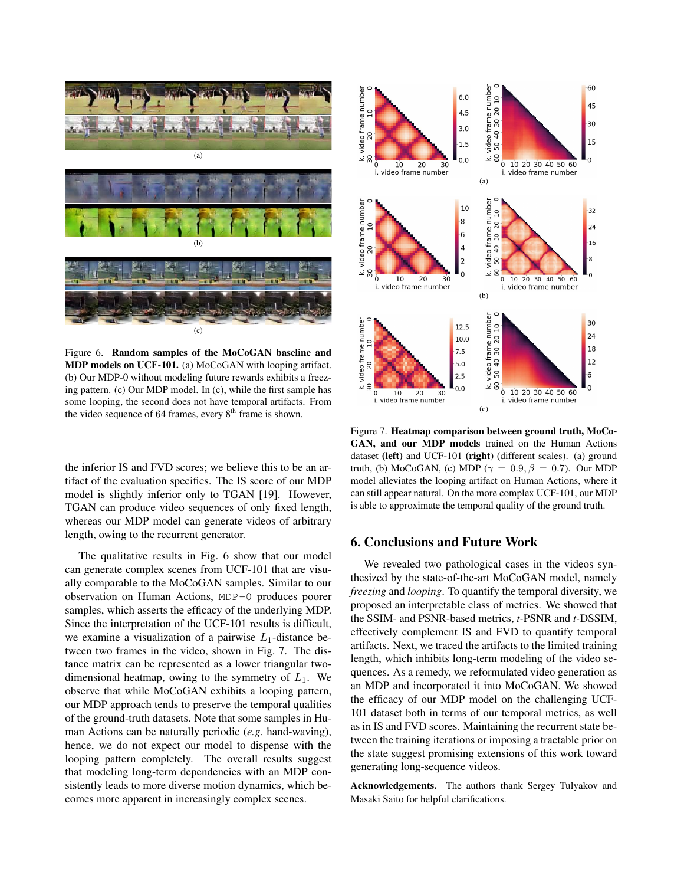

Figure 6. Random samples of the MoCoGAN baseline and MDP models on UCF-101. (a) MoCoGAN with looping artifact. (b) Our MDP-0 without modeling future rewards exhibits a freezing pattern. (c) Our MDP model. In (c), while the first sample has some looping, the second does not have temporal artifacts. From the video sequence of  $64$  frames, every  $8<sup>th</sup>$  frame is shown.

the inferior IS and FVD scores; we believe this to be an artifact of the evaluation specifics. The IS score of our MDP model is slightly inferior only to TGAN [19]. However, TGAN can produce video sequences of only fixed length, whereas our MDP model can generate videos of arbitrary length, owing to the recurrent generator.

The qualitative results in Fig. 6 show that our model can generate complex scenes from UCF-101 that are visually comparable to the MoCoGAN samples. Similar to our observation on Human Actions, MDP-0 produces poorer samples, which asserts the efficacy of the underlying MDP. Since the interpretation of the UCF-101 results is difficult, we examine a visualization of a pairwise  $L_1$ -distance between two frames in the video, shown in Fig. 7. The distance matrix can be represented as a lower triangular twodimensional heatmap, owing to the symmetry of  $L_1$ . We observe that while MoCoGAN exhibits a looping pattern, our MDP approach tends to preserve the temporal qualities of the ground-truth datasets. Note that some samples in Human Actions can be naturally periodic (*e.g*. hand-waving), hence, we do not expect our model to dispense with the looping pattern completely. The overall results suggest that modeling long-term dependencies with an MDP consistently leads to more diverse motion dynamics, which becomes more apparent in increasingly complex scenes.



Figure 7. Heatmap comparison between ground truth, MoCo-GAN, and our MDP models trained on the Human Actions dataset (left) and UCF-101 (right) (different scales). (a) ground truth, (b) MoCoGAN, (c) MDP ( $\gamma = 0.9$ ,  $\beta = 0.7$ ). Our MDP model alleviates the looping artifact on Human Actions, where it can still appear natural. On the more complex UCF-101, our MDP is able to approximate the temporal quality of the ground truth.

## 6. Conclusions and Future Work

We revealed two pathological cases in the videos synthesized by the state-of-the-art MoCoGAN model, namely *freezing* and *looping*. To quantify the temporal diversity, we proposed an interpretable class of metrics. We showed that the SSIM- and PSNR-based metrics, *t-*PSNR and *t-*DSSIM, effectively complement IS and FVD to quantify temporal artifacts. Next, we traced the artifacts to the limited training length, which inhibits long-term modeling of the video sequences. As a remedy, we reformulated video generation as an MDP and incorporated it into MoCoGAN. We showed the efficacy of our MDP model on the challenging UCF-101 dataset both in terms of our temporal metrics, as well as in IS and FVD scores. Maintaining the recurrent state between the training iterations or imposing a tractable prior on the state suggest promising extensions of this work toward generating long-sequence videos.

Acknowledgements. The authors thank Sergey Tulyakov and Masaki Saito for helpful clarifications.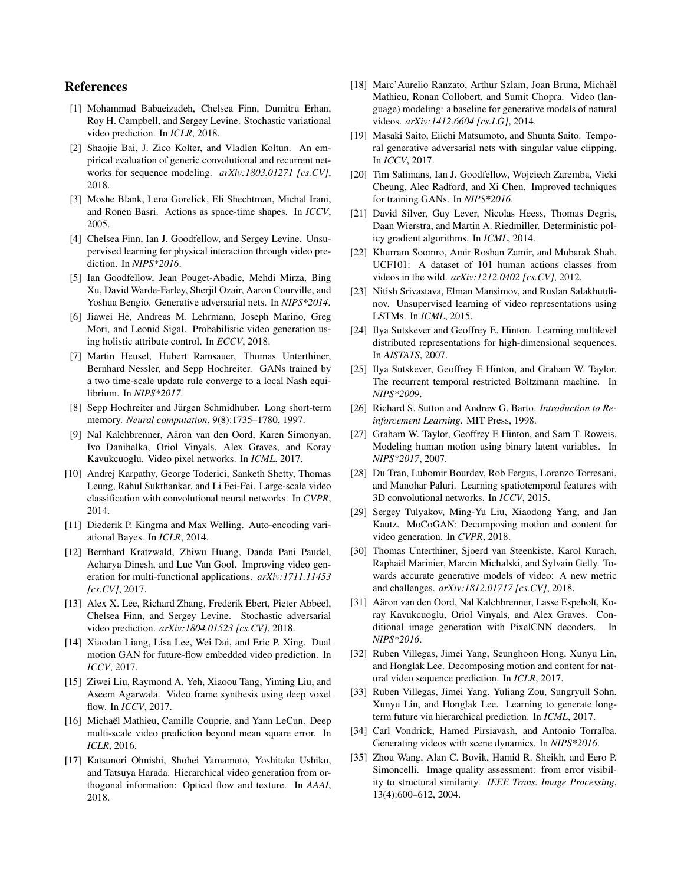# References

- [1] Mohammad Babaeizadeh, Chelsea Finn, Dumitru Erhan, Roy H. Campbell, and Sergey Levine. Stochastic variational video prediction. In *ICLR*, 2018.
- [2] Shaojie Bai, J. Zico Kolter, and Vladlen Koltun. An empirical evaluation of generic convolutional and recurrent networks for sequence modeling. *arXiv:1803.01271 [cs.CV]*, 2018.
- [3] Moshe Blank, Lena Gorelick, Eli Shechtman, Michal Irani, and Ronen Basri. Actions as space-time shapes. In *ICCV*, 2005.
- [4] Chelsea Finn, Ian J. Goodfellow, and Sergey Levine. Unsupervised learning for physical interaction through video prediction. In *NIPS\*2016*.
- [5] Ian Goodfellow, Jean Pouget-Abadie, Mehdi Mirza, Bing Xu, David Warde-Farley, Sherjil Ozair, Aaron Courville, and Yoshua Bengio. Generative adversarial nets. In *NIPS\*2014*.
- [6] Jiawei He, Andreas M. Lehrmann, Joseph Marino, Greg Mori, and Leonid Sigal. Probabilistic video generation using holistic attribute control. In *ECCV*, 2018.
- [7] Martin Heusel, Hubert Ramsauer, Thomas Unterthiner, Bernhard Nessler, and Sepp Hochreiter. GANs trained by a two time-scale update rule converge to a local Nash equilibrium. In *NIPS\*2017*.
- [8] Sepp Hochreiter and Jürgen Schmidhuber. Long short-term memory. *Neural computation*, 9(8):1735–1780, 1997.
- [9] Nal Kalchbrenner, Aäron van den Oord, Karen Simonyan, Ivo Danihelka, Oriol Vinyals, Alex Graves, and Koray Kavukcuoglu. Video pixel networks. In *ICML*, 2017.
- [10] Andrej Karpathy, George Toderici, Sanketh Shetty, Thomas Leung, Rahul Sukthankar, and Li Fei-Fei. Large-scale video classification with convolutional neural networks. In *CVPR*, 2014.
- [11] Diederik P. Kingma and Max Welling. Auto-encoding variational Bayes. In *ICLR*, 2014.
- [12] Bernhard Kratzwald, Zhiwu Huang, Danda Pani Paudel, Acharya Dinesh, and Luc Van Gool. Improving video generation for multi-functional applications. *arXiv:1711.11453 [cs.CV]*, 2017.
- [13] Alex X. Lee, Richard Zhang, Frederik Ebert, Pieter Abbeel, Chelsea Finn, and Sergey Levine. Stochastic adversarial video prediction. *arXiv:1804.01523 [cs.CV]*, 2018.
- [14] Xiaodan Liang, Lisa Lee, Wei Dai, and Eric P. Xing. Dual motion GAN for future-flow embedded video prediction. In *ICCV*, 2017.
- [15] Ziwei Liu, Raymond A. Yeh, Xiaoou Tang, Yiming Liu, and Aseem Agarwala. Video frame synthesis using deep voxel flow. In *ICCV*, 2017.
- [16] Michaël Mathieu, Camille Couprie, and Yann LeCun. Deep multi-scale video prediction beyond mean square error. In *ICLR*, 2016.
- [17] Katsunori Ohnishi, Shohei Yamamoto, Yoshitaka Ushiku, and Tatsuya Harada. Hierarchical video generation from orthogonal information: Optical flow and texture. In *AAAI*, 2018.
- [18] Marc'Aurelio Ranzato, Arthur Szlam, Joan Bruna, Michaël Mathieu, Ronan Collobert, and Sumit Chopra. Video (language) modeling: a baseline for generative models of natural videos. *arXiv:1412.6604 [cs.LG]*, 2014.
- [19] Masaki Saito, Eiichi Matsumoto, and Shunta Saito. Temporal generative adversarial nets with singular value clipping. In *ICCV*, 2017.
- [20] Tim Salimans, Ian J. Goodfellow, Wojciech Zaremba, Vicki Cheung, Alec Radford, and Xi Chen. Improved techniques for training GANs. In *NIPS\*2016*.
- [21] David Silver, Guy Lever, Nicolas Heess, Thomas Degris, Daan Wierstra, and Martin A. Riedmiller. Deterministic policy gradient algorithms. In *ICML*, 2014.
- [22] Khurram Soomro, Amir Roshan Zamir, and Mubarak Shah. UCF101: A dataset of 101 human actions classes from videos in the wild. *arXiv:1212.0402 [cs.CV]*, 2012.
- [23] Nitish Srivastava, Elman Mansimov, and Ruslan Salakhutdinov. Unsupervised learning of video representations using LSTMs. In *ICML*, 2015.
- [24] Ilya Sutskever and Geoffrey E. Hinton. Learning multilevel distributed representations for high-dimensional sequences. In *AISTATS*, 2007.
- [25] Ilya Sutskever, Geoffrey E Hinton, and Graham W. Taylor. The recurrent temporal restricted Boltzmann machine. In *NIPS\*2009*.
- [26] Richard S. Sutton and Andrew G. Barto. *Introduction to Reinforcement Learning*. MIT Press, 1998.
- [27] Graham W. Taylor, Geoffrey E Hinton, and Sam T. Roweis. Modeling human motion using binary latent variables. In *NIPS\*2017*, 2007.
- [28] Du Tran, Lubomir Bourdev, Rob Fergus, Lorenzo Torresani, and Manohar Paluri. Learning spatiotemporal features with 3D convolutional networks. In *ICCV*, 2015.
- [29] Sergey Tulyakov, Ming-Yu Liu, Xiaodong Yang, and Jan Kautz. MoCoGAN: Decomposing motion and content for video generation. In *CVPR*, 2018.
- [30] Thomas Unterthiner, Sjoerd van Steenkiste, Karol Kurach, Raphaël Marinier, Marcin Michalski, and Sylvain Gelly. Towards accurate generative models of video: A new metric and challenges. *arXiv:1812.01717 [cs.CV]*, 2018.
- [31] Aäron van den Oord, Nal Kalchbrenner, Lasse Espeholt, Koray Kavukcuoglu, Oriol Vinyals, and Alex Graves. Conditional image generation with PixelCNN decoders. In *NIPS\*2016*.
- [32] Ruben Villegas, Jimei Yang, Seunghoon Hong, Xunyu Lin, and Honglak Lee. Decomposing motion and content for natural video sequence prediction. In *ICLR*, 2017.
- [33] Ruben Villegas, Jimei Yang, Yuliang Zou, Sungryull Sohn, Xunyu Lin, and Honglak Lee. Learning to generate longterm future via hierarchical prediction. In *ICML*, 2017.
- [34] Carl Vondrick, Hamed Pirsiavash, and Antonio Torralba. Generating videos with scene dynamics. In *NIPS\*2016*.
- [35] Zhou Wang, Alan C. Bovik, Hamid R. Sheikh, and Eero P. Simoncelli. Image quality assessment: from error visibility to structural similarity. *IEEE Trans. Image Processing*, 13(4):600–612, 2004.